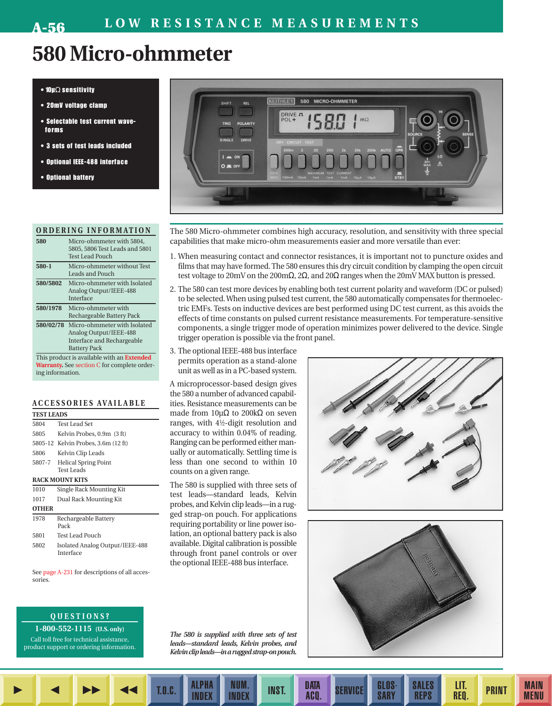## **580 Micro-ohmmeter**

#### • 10µΩ sensitivity

- 20mV voltage clamp
- Selectable test current waveforms
- 3 sets of test leads included
- Optional IEEE-488 interface
- Optional battery

|          | ORDERING INFORMATION                                                                                                  |  |  |  |  |
|----------|-----------------------------------------------------------------------------------------------------------------------|--|--|--|--|
| 580      | Micro-ohmmeter with 5804,<br>5805, 5806 Test Leads and 5801<br><b>Test Lead Pouch</b>                                 |  |  |  |  |
| 580-1    | Micro-ohmmeter without Test<br>Leads and Pouch                                                                        |  |  |  |  |
| 580/5802 | Micro-ohmmeter with Isolated<br>Analog Output/IEEE-488<br><b>Interface</b>                                            |  |  |  |  |
| 580/1978 | Micro-ohmmeter with<br>Rechargeable Battery Pack                                                                      |  |  |  |  |
|          | 580/02/78 Micro-ohmmeter with Isolated<br>Analog Output/IEEE-488<br>Interface and Rechargeable<br><b>Battery Pack</b> |  |  |  |  |
|          | This product is available with an <b>Extended</b>                                                                     |  |  |  |  |

**Warranty.** See section C for complete ordering information.

#### **ACCESSORIES AVAILABLE**

**TEST LEADS**

| .            |                                              |  |  |  |  |
|--------------|----------------------------------------------|--|--|--|--|
| 5804         | Test Lead Set                                |  |  |  |  |
| 5805         | Kelvin Probes, 0.9m (3 ft)                   |  |  |  |  |
|              | 5805-12 Kelvin Probes, 3.6m (12 ft)          |  |  |  |  |
| 5806         | Kelvin Clip Leads                            |  |  |  |  |
| 5807-7       | <b>Helical Spring Point</b><br>Test Leads    |  |  |  |  |
|              | <b>RACK MOUNT KITS</b>                       |  |  |  |  |
| 1010         | Single Rack Mounting Kit                     |  |  |  |  |
| 1017         | Dual Rack Mounting Kit                       |  |  |  |  |
| <b>OTHER</b> |                                              |  |  |  |  |
| 1978         | Rechargeable Battery<br>Pack                 |  |  |  |  |
| 5801         | <b>Test Lead Pouch</b>                       |  |  |  |  |
| 5802         | Isolated Analog Output/IEEE-488<br>Interface |  |  |  |  |

See page A-231 for descriptions of all accessories.

### **QUESTIONS?**

**1-800-552-1115 (U.S. only)** Call toll free for technical assistance, product support or ordering information.



The 580 Micro-ohmmeter combines high accuracy, resolution, and sensitivity with three special capabilities that make micro-ohm measurements easier and more versatile than ever:

- 1. When measuring contact and connector resistances, it is important not to puncture oxides and films that may have formed. The 580 ensures this dry circuit condition by clamping the open circuit test voltage to 20mV on the 200mΩ, 2 $\Omega$ , and 20 $\Omega$  ranges when the 20mV MAX button is pressed.
- 2. The 580 can test more devices by enabling both test current polarity and waveform (DC or pulsed) to be selected. When using pulsed test current, the 580 automatically compensates for thermoelectric EMFs. Tests on inductive devices are best performed using DC test current, as this avoids the effects of time constants on pulsed current resistance measurements. For temperature-sensitive components, a single trigger mode of operation minimizes power delivered to the device. Single trigger operation is possible via the front panel.
- 3. The optional IEEE-488 bus interface permits operation as a stand-alone unit as well as in a PC-based system.

A microprocessor-based design gives the 580 a number of advanced capabilities. Resistance measurements can be made from  $10μΩ$  to  $200kΩ$  on seven ranges, with 41⁄2-digit resolution and accuracy to within 0.04% of reading. Ranging can be performed either manually or automatically. Settling time is less than one second to within 10 counts on a given range.

The 580 is supplied with three sets of test leads—standard leads, Kelvin probes, and Kelvin clip leads—in a rugged strap-on pouch. For applications requiring portability or line power isolation, an optional battery pack is also available. Digital calibration is possible through front panel controls or over the optional IEEE-488 bus interface.





**SALES** REPS

LIT.<br>Req.

PRINT MAIN

**MENU** 

*The 580 is supplied with three sets of test leads—standard leads, Kelvin probes, and Kelvin clip leads—in a rugged strap-on pouch.*

NUM.<br>Index

NUM. INST. DATA

DATA SERVICE GLOS-

**SARY** 

T.O.C. ALPHA

INDEX